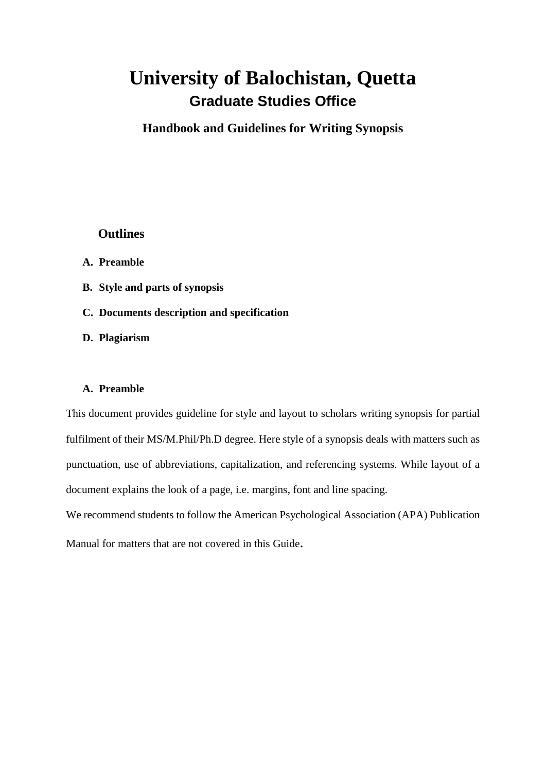# **University of Balochistan, Quetta Graduate Studies Office**

**Handbook and Guidelines for Writing Synopsis**

## **Outlines**

- **A. Preamble**
- **B. Style and parts of synopsis**
- **C. Documents description and specification**
- **D. Plagiarism**

## **A. Preamble**

This document provides guideline for style and layout to scholars writing synopsis for partial fulfilment of their MS/M.Phil/Ph.D degree. Here style of a synopsis deals with matters such as punctuation, use of abbreviations, capitalization, and referencing systems. While layout of a document explains the look of a page, i.e. margins, font and line spacing.

We recommend students to follow the American Psychological Association (APA) Publication

Manual for matters that are not covered in this Guide.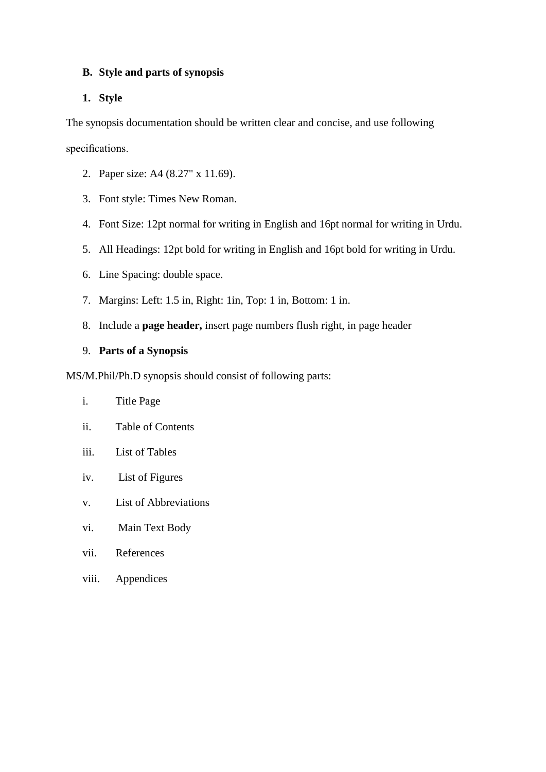## **B. Style and parts of synopsis**

## **1. Style**

The synopsis documentation should be written clear and concise, and use following specifications.

- 2. Paper size: A4 (8.27" x 11.69).
- 3. Font style: Times New Roman.
- 4. Font Size: 12pt normal for writing in English and 16pt normal for writing in Urdu.
- 5. All Headings: 12pt bold for writing in English and 16pt bold for writing in Urdu.
- 6. Line Spacing: double space.
- 7. Margins: Left: 1.5 in, Right: 1in, Top: 1 in, Bottom: 1 in.
- 8. Include a **page header,** insert page numbers flush right, in page header

## 9. **Parts of a Synopsis**

MS/M.Phil/Ph.D synopsis should consist of following parts:

- i. Title Page
- ii. Table of Contents
- iii. List of Tables
- iv. List of Figures
- v. List of Abbreviations
- vi. Main Text Body
- vii. References
- viii. Appendices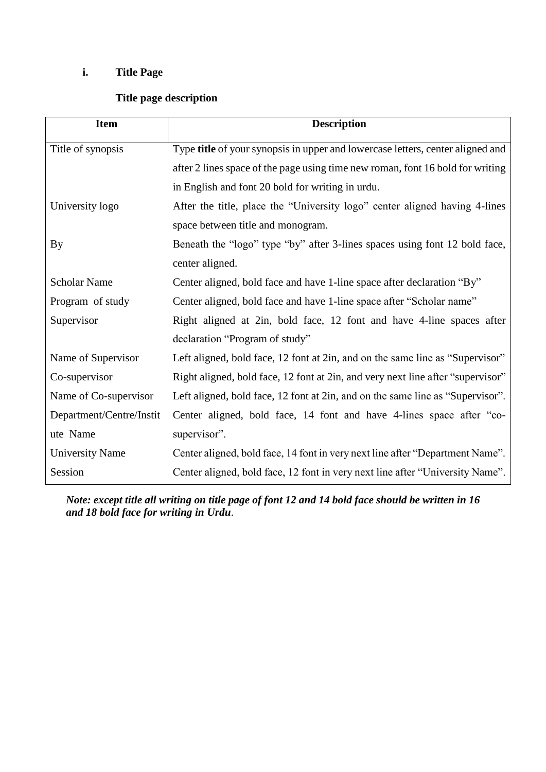## **i. Title Page**

## **Title page description**

| <b>Item</b>              | <b>Description</b>                                                              |  |  |  |
|--------------------------|---------------------------------------------------------------------------------|--|--|--|
| Title of synopsis        | Type title of your synopsis in upper and lowercase letters, center aligned and  |  |  |  |
|                          | after 2 lines space of the page using time new roman, font 16 bold for writing  |  |  |  |
|                          | in English and font 20 bold for writing in urdu.                                |  |  |  |
| University logo          | After the title, place the "University logo" center aligned having 4-lines      |  |  |  |
|                          | space between title and monogram.                                               |  |  |  |
| By                       | Beneath the "logo" type "by" after 3-lines spaces using font 12 bold face,      |  |  |  |
|                          | center aligned.                                                                 |  |  |  |
| <b>Scholar Name</b>      | Center aligned, bold face and have 1-line space after declaration "By"          |  |  |  |
| Program of study         | Center aligned, bold face and have 1-line space after "Scholar name"            |  |  |  |
| Supervisor               | Right aligned at 2in, bold face, 12 font and have 4-line spaces after           |  |  |  |
|                          | declaration "Program of study"                                                  |  |  |  |
| Name of Supervisor       | Left aligned, bold face, 12 font at 2in, and on the same line as "Supervisor"   |  |  |  |
| Co-supervisor            | Right aligned, bold face, 12 font at 2in, and very next line after "supervisor" |  |  |  |
| Name of Co-supervisor    | Left aligned, bold face, 12 font at 2in, and on the same line as "Supervisor".  |  |  |  |
| Department/Centre/Instit | Center aligned, bold face, 14 font and have 4-lines space after "co-            |  |  |  |
| ute Name                 | supervisor".                                                                    |  |  |  |
| <b>University Name</b>   | Center aligned, bold face, 14 font in very next line after "Department Name".   |  |  |  |
| Session                  | Center aligned, bold face, 12 font in very next line after "University Name".   |  |  |  |

*Note: except title all writing on title page of font 12 and 14 bold face should be written in 16 and 18 bold face for writing in Urdu*.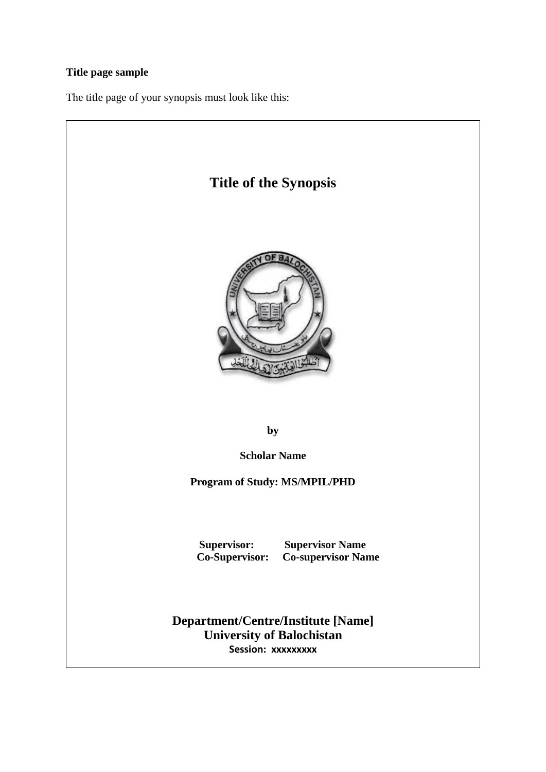## **Title page sample**

The title page of your synopsis must look like this:

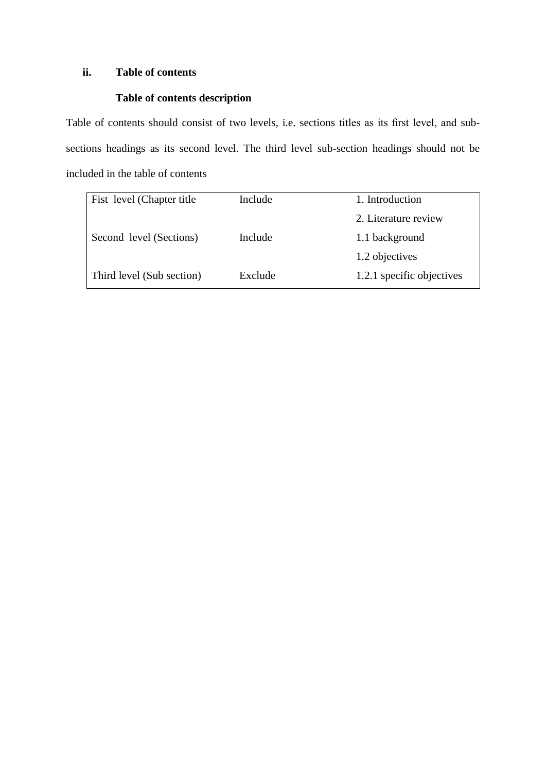## **ii. Table of contents**

## **Table of contents description**

Table of contents should consist of two levels, i.e. sections titles as its first level, and subsections headings as its second level. The third level sub-section headings should not be included in the table of contents

| Fist level (Chapter title | Include | 1. Introduction           |
|---------------------------|---------|---------------------------|
|                           |         | 2. Literature review      |
| Second level (Sections)   | Include | 1.1 background            |
|                           |         | 1.2 objectives            |
| Third level (Sub section) | Exclude | 1.2.1 specific objectives |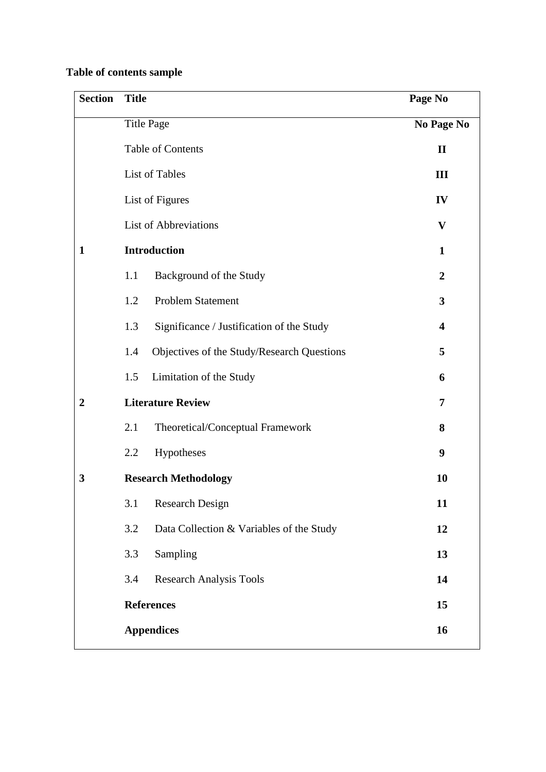## **Table of contents sample**

| <b>Section</b>   | <b>Title</b>                                      | Page No                   |
|------------------|---------------------------------------------------|---------------------------|
|                  | <b>Title Page</b>                                 | No Page No                |
|                  | Table of Contents                                 | $\mathbf{I}$              |
|                  | List of Tables                                    | III                       |
|                  | List of Figures                                   | IV                        |
|                  | <b>List of Abbreviations</b>                      | $\boldsymbol{\mathrm{V}}$ |
| $\mathbf{1}$     | <b>Introduction</b>                               | $\mathbf{1}$              |
|                  | 1.1<br>Background of the Study                    | $\overline{2}$            |
|                  | 1.2<br><b>Problem Statement</b>                   | 3                         |
|                  | Significance / Justification of the Study<br>1.3  | $\overline{\mathbf{4}}$   |
|                  | Objectives of the Study/Research Questions<br>1.4 | 5                         |
|                  | Limitation of the Study<br>1.5                    | 6                         |
| $\boldsymbol{2}$ | <b>Literature Review</b>                          | 7                         |
|                  | 2.1<br>Theoretical/Conceptual Framework           | 8                         |
|                  | Hypotheses<br>2.2                                 | 9                         |
| 3                | <b>Research Methodology</b>                       | 10                        |
|                  | 3.1<br><b>Research Design</b>                     | 11                        |
|                  | 3.2<br>Data Collection & Variables of the Study   | 12                        |
|                  | 3.3<br>Sampling                                   | 13                        |
|                  | <b>Research Analysis Tools</b><br>3.4             | 14                        |
|                  | <b>References</b>                                 | 15                        |
|                  | <b>Appendices</b>                                 | 16                        |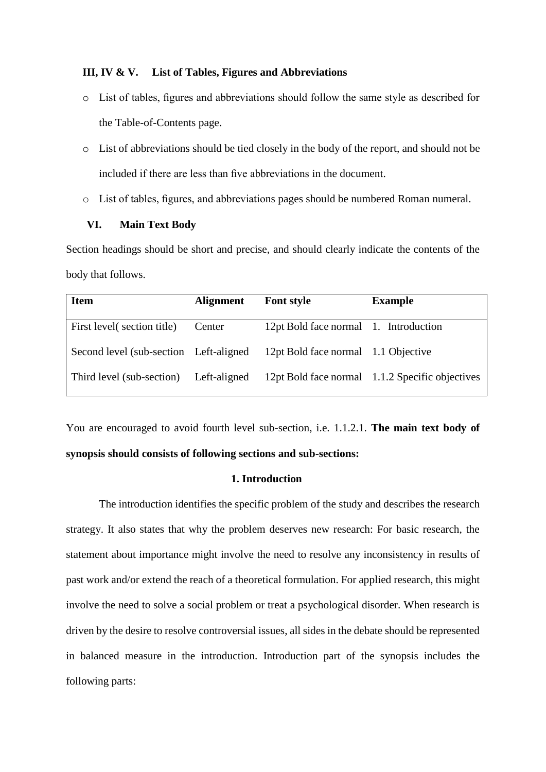#### **III, IV & V. List of Tables, Figures and Abbreviations**

- o List of tables, figures and abbreviations should follow the same style as described for the Table-of-Contents page.
- o List of abbreviations should be tied closely in the body of the report, and should not be included if there are less than five abbreviations in the document.
- o List of tables, figures, and abbreviations pages should be numbered Roman numeral.

#### **VI. Main Text Body**

Section headings should be short and precise, and should clearly indicate the contents of the body that follows.

| <b>Item</b>                            | <b>Alignment</b> | <b>Font style</b>                     | <b>Example</b>                                  |
|----------------------------------------|------------------|---------------------------------------|-------------------------------------------------|
| First level (section title)            | Center           | 12pt Bold face normal 1. Introduction |                                                 |
| Second level (sub-section Left-aligned |                  | 12pt Bold face normal 1.1 Objective   |                                                 |
| Third level (sub-section)              | Left-aligned     |                                       | 12pt Bold face normal 1.1.2 Specific objectives |

You are encouraged to avoid fourth level sub-section, i.e. 1.1.2.1. **The main text body of synopsis should consists of following sections and sub-sections:**

#### **1. Introduction**

The introduction identifies the specific problem of the study and describes the research strategy. It also states that why the problem deserves new research: For basic research, the statement about importance might involve the need to resolve any inconsistency in results of past work and/or extend the reach of a theoretical formulation. For applied research, this might involve the need to solve a social problem or treat a psychological disorder. When research is driven by the desire to resolve controversial issues, all sides in the debate should be represented in balanced measure in the introduction. Introduction part of the synopsis includes the following parts: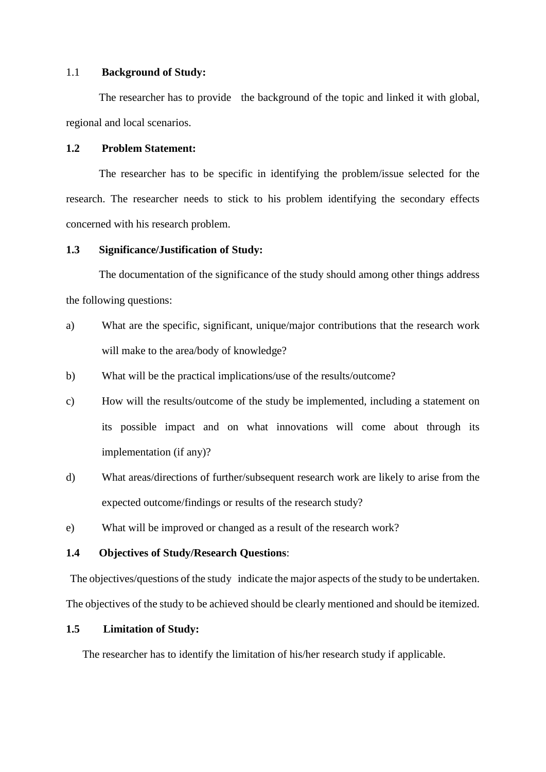#### 1.1 **Background of Study:**

The researcher has to provide the background of the topic and linked it with global, regional and local scenarios.

## **1.2 Problem Statement:**

The researcher has to be specific in identifying the problem/issue selected for the research. The researcher needs to stick to his problem identifying the secondary effects concerned with his research problem.

#### **1.3 Significance/Justification of Study:**

The documentation of the significance of the study should among other things address the following questions:

- a) What are the specific, significant, unique/major contributions that the research work will make to the area/body of knowledge?
- b) What will be the practical implications/use of the results/outcome?
- c) How will the results/outcome of the study be implemented, including a statement on its possible impact and on what innovations will come about through its implementation (if any)?
- d) What areas/directions of further/subsequent research work are likely to arise from the expected outcome/findings or results of the research study?
- e) What will be improved or changed as a result of the research work?

#### **1.4 Objectives of Study/Research Questions**:

The objectives/questions of the study indicate the major aspects of the study to be undertaken. The objectives of the study to be achieved should be clearly mentioned and should be itemized.

## **1.5 Limitation of Study:**

The researcher has to identify the limitation of his/her research study if applicable.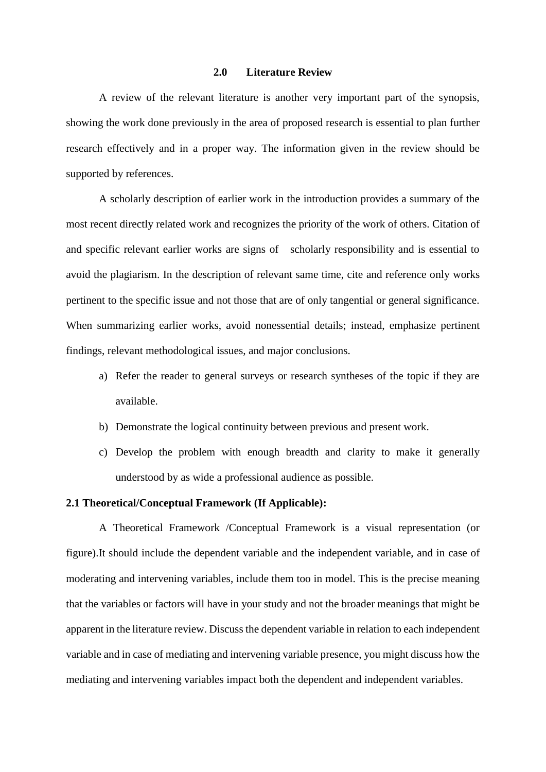#### **2.0 Literature Review**

A review of the relevant literature is another very important part of the synopsis, showing the work done previously in the area of proposed research is essential to plan further research effectively and in a proper way. The information given in the review should be supported by references.

A scholarly description of earlier work in the introduction provides a summary of the most recent directly related work and recognizes the priority of the work of others. Citation of and specific relevant earlier works are signs of scholarly responsibility and is essential to avoid the plagiarism. In the description of relevant same time, cite and reference only works pertinent to the specific issue and not those that are of only tangential or general significance. When summarizing earlier works, avoid nonessential details; instead, emphasize pertinent findings, relevant methodological issues, and major conclusions.

- a) Refer the reader to general surveys or research syntheses of the topic if they are available.
- b) Demonstrate the logical continuity between previous and present work.
- c) Develop the problem with enough breadth and clarity to make it generally understood by as wide a professional audience as possible.

#### **2.1 Theoretical/Conceptual Framework (If Applicable):**

A Theoretical Framework /Conceptual Framework is a visual representation (or figure).It should include the dependent variable and the independent variable, and in case of moderating and intervening variables, include them too in model. This is the precise meaning that the variables or factors will have in your study and not the broader meanings that might be apparent in the literature review. Discuss the dependent variable in relation to each independent variable and in case of mediating and intervening variable presence, you might discuss how the mediating and intervening variables impact both the dependent and independent variables.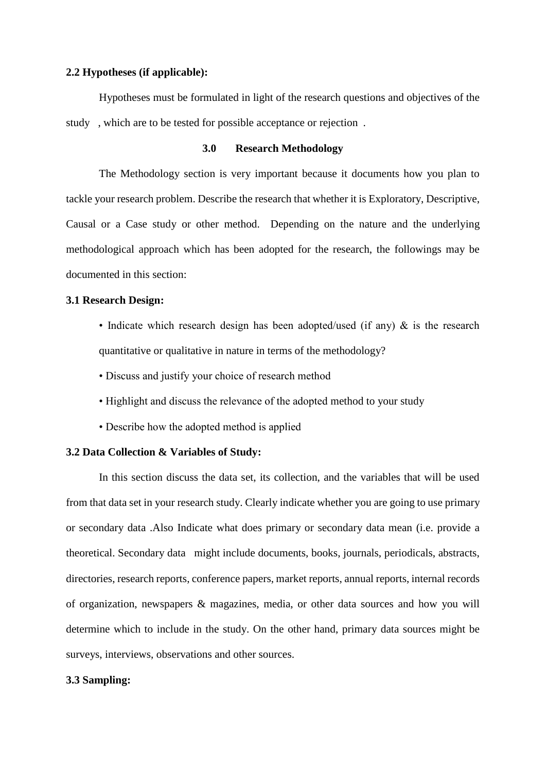#### **2.2 Hypotheses (if applicable):**

Hypotheses must be formulated in light of the research questions and objectives of the study , which are to be tested for possible acceptance or rejection .

## **3.0 Research Methodology**

The Methodology section is very important because it documents how you plan to tackle your research problem. Describe the research that whether it is Exploratory, Descriptive, Causal or a Case study or other method. Depending on the nature and the underlying methodological approach which has been adopted for the research, the followings may be documented in this section:

#### **3.1 Research Design:**

- Indicate which research design has been adopted/used (if any)  $\&$  is the research quantitative or qualitative in nature in terms of the methodology?
- Discuss and justify your choice of research method
- Highlight and discuss the relevance of the adopted method to your study
- Describe how the adopted method is applied

## **3.2 Data Collection & Variables of Study:**

In this section discuss the data set, its collection, and the variables that will be used from that data set in your research study. Clearly indicate whether you are going to use primary or secondary data .Also Indicate what does primary or secondary data mean (i.e. provide a theoretical. Secondary data might include documents, books, journals, periodicals, abstracts, directories, research reports, conference papers, market reports, annual reports, internal records of organization, newspapers & magazines, media, or other data sources and how you will determine which to include in the study. On the other hand, primary data sources might be surveys, interviews, observations and other sources.

#### **3.3 Sampling:**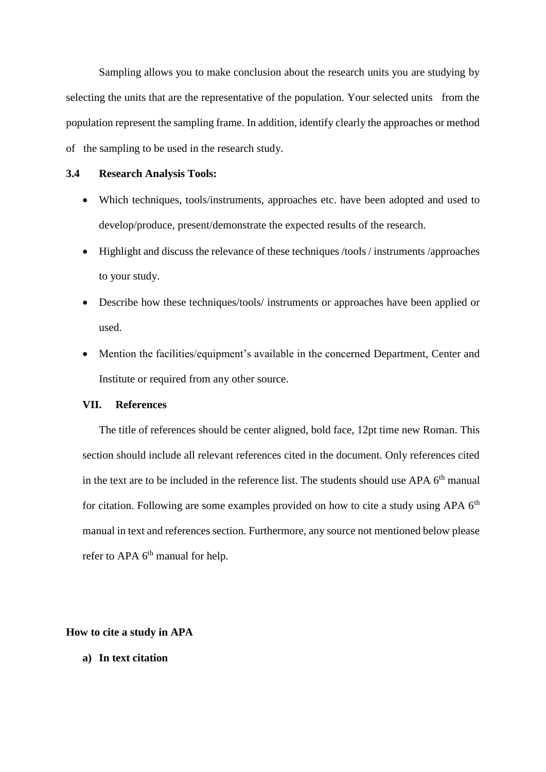Sampling allows you to make conclusion about the research units you are studying by selecting the units that are the representative of the population. Your selected units from the population represent the sampling frame. In addition, identify clearly the approaches or method of the sampling to be used in the research study.

#### **3.4 Research Analysis Tools:**

- Which techniques, tools/instruments, approaches etc. have been adopted and used to develop/produce, present/demonstrate the expected results of the research.
- Highlight and discuss the relevance of these techniques /tools / instruments /approaches to your study.
- Describe how these techniques/tools/ instruments or approaches have been applied or used.
- Mention the facilities/equipment's available in the concerned Department, Center and Institute or required from any other source.

#### **VII. References**

The title of references should be center aligned, bold face, 12pt time new Roman. This section should include all relevant references cited in the document. Only references cited in the text are to be included in the reference list. The students should use APA 6<sup>th</sup> manual for citation. Following are some examples provided on how to cite a study using APA  $6<sup>th</sup>$ manual in text and references section. Furthermore, any source not mentioned below please refer to APA 6<sup>th</sup> manual for help.

#### **How to cite a study in APA**

**a) In text citation**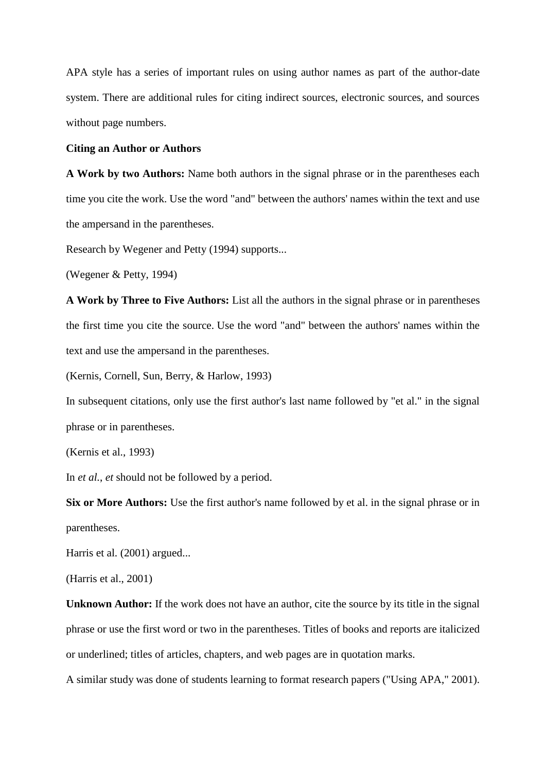APA style has a series of important rules on using author names as part of the author-date system. There are additional rules for citing indirect sources, electronic sources, and sources without page numbers.

#### **Citing an Author or Authors**

**A Work by two Authors:** Name both authors in the signal phrase or in the parentheses each time you cite the work. Use the word "and" between the authors' names within the text and use the ampersand in the parentheses.

Research by Wegener and Petty (1994) supports...

(Wegener & Petty, 1994)

**A Work by Three to Five Authors:** List all the authors in the signal phrase or in parentheses the first time you cite the source. Use the word "and" between the authors' names within the text and use the ampersand in the parentheses.

(Kernis, Cornell, Sun, Berry, & Harlow, 1993)

In subsequent citations, only use the first author's last name followed by "et al." in the signal phrase or in parentheses.

(Kernis et al., 1993)

In *et al.*, *et* should not be followed by a period.

**Six or More Authors:** Use the first author's name followed by et al. in the signal phrase or in parentheses.

Harris et al. (2001) argued...

(Harris et al., 2001)

**Unknown Author:** If the work does not have an author, cite the source by its title in the signal phrase or use the first word or two in the parentheses. Titles of books and reports are italicized or underlined; titles of articles, chapters, and web pages are in quotation marks.

A similar study was done of students learning to format research papers ("Using APA," 2001).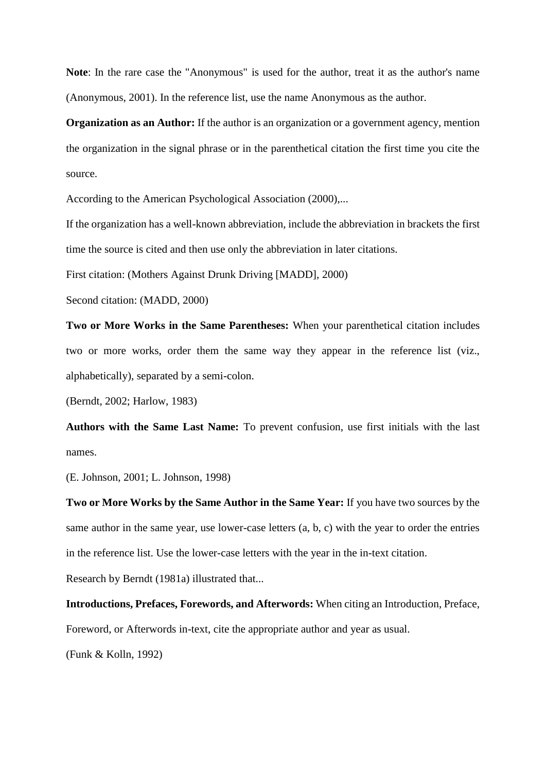**Note**: In the rare case the "Anonymous" is used for the author, treat it as the author's name (Anonymous, 2001). In the reference list, use the name Anonymous as the author.

**Organization as an Author:** If the author is an organization or a government agency, mention the organization in the signal phrase or in the parenthetical citation the first time you cite the source.

According to the American Psychological Association (2000),...

If the organization has a well-known abbreviation, include the abbreviation in brackets the first time the source is cited and then use only the abbreviation in later citations.

First citation: (Mothers Against Drunk Driving [MADD], 2000)

Second citation: (MADD, 2000)

**Two or More Works in the Same Parentheses:** When your parenthetical citation includes two or more works, order them the same way they appear in the reference list (viz., alphabetically), separated by a semi-colon.

(Berndt, 2002; Harlow, 1983)

**Authors with the Same Last Name:** To prevent confusion, use first initials with the last names.

(E. Johnson, 2001; L. Johnson, 1998)

**Two or More Works by the Same Author in the Same Year:** If you have two sources by the same author in the same year, use lower-case letters (a, b, c) with the year to order the entries in the reference list. Use the lower-case letters with the year in the in-text citation.

Research by Berndt (1981a) illustrated that...

**Introductions, Prefaces, Forewords, and Afterwords:** When citing an Introduction, Preface, Foreword, or Afterwords in-text, cite the appropriate author and year as usual.

(Funk & Kolln, 1992)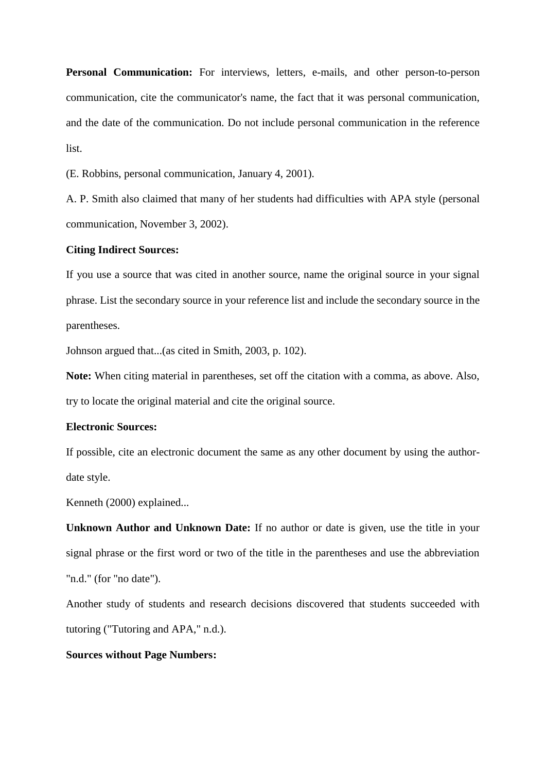**Personal Communication:** For interviews, letters, e-mails, and other person-to-person communication, cite the communicator's name, the fact that it was personal communication, and the date of the communication. Do not include personal communication in the reference list.

(E. Robbins, personal communication, January 4, 2001).

A. P. Smith also claimed that many of her students had difficulties with APA style (personal communication, November 3, 2002).

#### **Citing Indirect Sources:**

If you use a source that was cited in another source, name the original source in your signal phrase. List the secondary source in your reference list and include the secondary source in the parentheses.

Johnson argued that...(as cited in Smith, 2003, p. 102).

**Note:** When citing material in parentheses, set off the citation with a comma, as above. Also, try to locate the original material and cite the original source.

#### **Electronic Sources:**

If possible, cite an electronic document the same as any other document by using the authordate style.

Kenneth (2000) explained...

**Unknown Author and Unknown Date:** If no author or date is given, use the title in your signal phrase or the first word or two of the title in the parentheses and use the abbreviation "n.d." (for "no date").

Another study of students and research decisions discovered that students succeeded with tutoring ("Tutoring and APA," n.d.).

#### **Sources without Page Numbers:**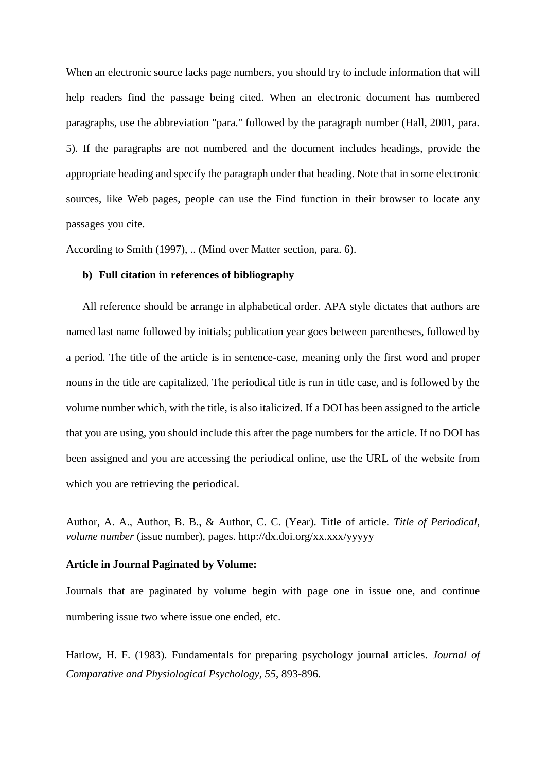When an electronic source lacks page numbers, you should try to include information that will help readers find the passage being cited. When an electronic document has numbered paragraphs, use the abbreviation "para." followed by the paragraph number (Hall, 2001, para. 5). If the paragraphs are not numbered and the document includes headings, provide the appropriate heading and specify the paragraph under that heading. Note that in some electronic sources, like Web pages, people can use the Find function in their browser to locate any passages you cite.

According to Smith (1997), .. (Mind over Matter section, para. 6).

## **b) Full citation in references of bibliography**

All reference should be arrange in alphabetical order. APA style dictates that authors are named last name followed by initials; publication year goes between parentheses, followed by a period. The title of the article is in sentence-case, meaning only the first word and proper nouns in the title are capitalized. The periodical title is run in title case, and is followed by the volume number which, with the title, is also italicized. If a DOI has been assigned to the article that you are using, you should include this after the page numbers for the article. If no DOI has been assigned and you are accessing the periodical online, use the URL of the website from which you are retrieving the periodical.

Author, A. A., Author, B. B., & Author, C. C. (Year). Title of article. *Title of Periodical, volume number* (issue number), pages. http://dx.doi.org/xx.xxx/yyyyy

#### **Article in Journal Paginated by Volume:**

Journals that are paginated by volume begin with page one in issue one, and continue numbering issue two where issue one ended, etc.

Harlow, H. F. (1983). Fundamentals for preparing psychology journal articles. *Journal of Comparative and Physiological Psychology, 55*, 893-896.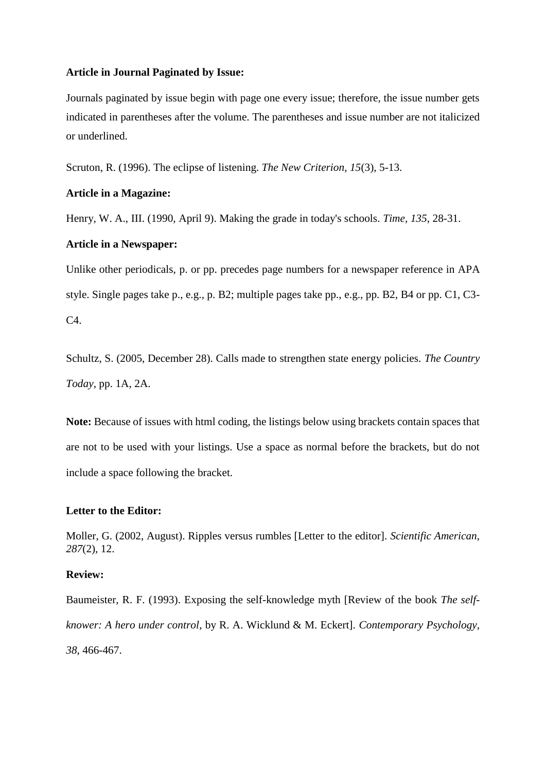#### **Article in Journal Paginated by Issue:**

Journals paginated by issue begin with page one every issue; therefore, the issue number gets indicated in parentheses after the volume. The parentheses and issue number are not italicized or underlined.

Scruton, R. (1996). The eclipse of listening. *The New Criterion, 15*(3), 5-13.

#### **Article in a Magazine:**

Henry, W. A., III. (1990, April 9). Making the grade in today's schools. *Time, 135*, 28-31.

## **Article in a Newspaper:**

Unlike other periodicals, p. or pp. precedes page numbers for a newspaper reference in APA style. Single pages take p., e.g., p. B2; multiple pages take pp., e.g., pp. B2, B4 or pp. C1, C3- C4.

Schultz, S. (2005, December 28). Calls made to strengthen state energy policies. *The Country Today*, pp. 1A, 2A.

**Note:** Because of issues with html coding, the listings below using brackets contain spaces that are not to be used with your listings. Use a space as normal before the brackets, but do not include a space following the bracket.

## **Letter to the Editor:**

Moller, G. (2002, August). Ripples versus rumbles [Letter to the editor]. *Scientific American, 287*(2), 12.

#### **Review:**

Baumeister, R. F. (1993). Exposing the self-knowledge myth [Review of the book *The selfknower: A hero under control*, by R. A. Wicklund & M. Eckert]. *Contemporary Psychology, 38*, 466-467.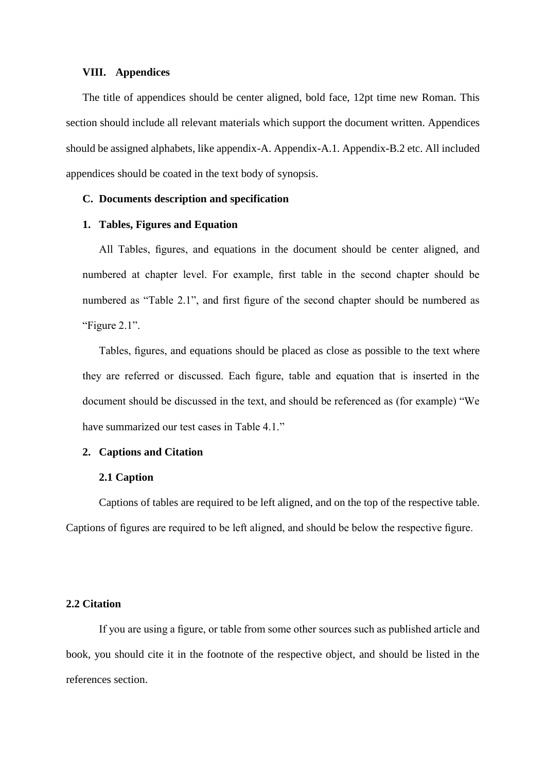#### **VIII. Appendices**

The title of appendices should be center aligned, bold face, 12pt time new Roman. This section should include all relevant materials which support the document written. Appendices should be assigned alphabets, like appendix-A. Appendix-A.1. Appendix-B.2 etc. All included appendices should be coated in the text body of synopsis.

## **C. Documents description and specification**

#### **1. Tables, Figures and Equation**

All Tables, figures, and equations in the document should be center aligned, and numbered at chapter level. For example, first table in the second chapter should be numbered as "Table 2.1", and first figure of the second chapter should be numbered as "Figure 2.1".

Tables, figures, and equations should be placed as close as possible to the text where they are referred or discussed. Each figure, table and equation that is inserted in the document should be discussed in the text, and should be referenced as (for example) "We have summarized our test cases in Table 4.1."

#### **2. Captions and Citation**

#### **2.1 Caption**

Captions of tables are required to be left aligned, and on the top of the respective table. Captions of figures are required to be left aligned, and should be below the respective figure.

#### **2.2 Citation**

If you are using a figure, or table from some other sources such as published article and book, you should cite it in the footnote of the respective object, and should be listed in the references section.